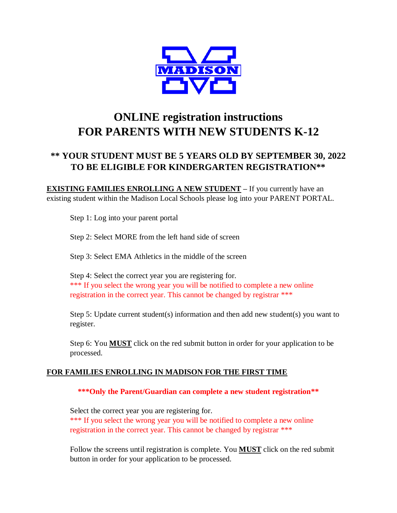

# **ONLINE registration instructions FOR PARENTS WITH NEW STUDENTS K-12**

## **\*\* YOUR STUDENT MUST BE 5 YEARS OLD BY SEPTEMBER 30, 2022 TO BE ELIGIBLE FOR KINDERGARTEN REGISTRATION\*\***

**EXISTING FAMILIES ENROLLING A NEW STUDENT –** If you currently have an existing student within the Madison Local Schools please log into your PARENT PORTAL.

Step 1: Log into your parent portal

Step 2: Select MORE from the left hand side of screen

Step 3: Select EMA Athletics in the middle of the screen

Step 4: Select the correct year you are registering for. \*\*\* If you select the wrong year you will be notified to complete a new online registration in the correct year. This cannot be changed by registrar \*\*\*

Step 5: Update current student(s) information and then add new student(s) you want to register.

Step 6: You **MUST** click on the red submit button in order for your application to be processed.

### **FOR FAMILIES ENROLLING IN MADISON FOR THE FIRST TIME**

**\*\*\*Only the Parent/Guardian can complete a new student registration\*\***

Select the correct year you are registering for. \*\*\* If you select the wrong year you will be notified to complete a new online registration in the correct year. This cannot be changed by registrar \*\*\*

Follow the screens until registration is complete. You **MUST** click on the red submit button in order for your application to be processed.